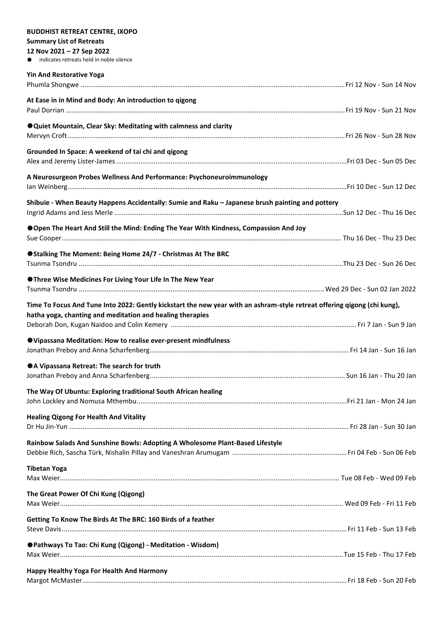## **BUDDHIST RETREAT CENTRE, IXOPO Summary List of Retreats 12 Nov 2021 – 27 Sep 2022** indicates retreats held in noble silence **Yin And Restorative Yoga** Phumla Shongwe .............................................................................................................................................Fri 12 Nov - Sun 14 Nov **At Ease in in Mind and Body: An introduction to qigong** Paul Dorrian .....................................................................................................................................................Fri 19 Nov - Sun 21 Nov **Quiet Mountain, Clear Sky: Meditating with calmness and clarity** Mervyn Croft....................................................................................................................................................Fri 26 Nov - Sun 28 Nov **Grounded In Space: A weekend of tai chi and qigong** Alex and Jeremy Lister-James...........................................................................................................................Fri 03 Dec - Sun 05 Dec **A Neurosurgeon Probes Wellness And Performance: Psychoneuroimmunology** Ian Weinberg.....................................................................................................................................................Fri 10 Dec - Sun 12 Dec **Shibuie - When Beauty Happens Accidentally: Sumie and Raku – Japanese brush painting and pottery** Ingrid Adams and Jess Merle ..........................................................................................................................Sun 12 Dec - Thu 16 Dec **Open The Heart And Still the Mind: Ending The Year With Kindness, Compassion And Joy** Sue Cooper..................................................................................................................................................... Thu 16 Dec - Thu 23 Dec **Stalking The Moment: Being Home 24/7 - Christmas At The BRC** Tsunma Tsondru .............................................................................................................................................Thu 23 Dec - Sun 26 Dec **Three Wise Medicines For Living Your Life In The New Year** Tsunma Tsondru ...................................................................................................................................Wed 29 Dec - Sun 02 Jan 2022 **Time To Focus And Tune Into 2022: Gently kickstart the new year with an ashram-style retreat offering qigong (chi kung), hatha yoga, chanting and meditation and healing therapies**  Deborah Don, Kugan Naidoo and Colin Kemery ................................................................................................... Fri 7 Jan - Sun 9 Jan **Vipassana Meditation: How to realise ever-present mindfulness** Jonathan Preboy and Anna Scharfenberg.......................................................................................................... Fri 14 Jan - Sun 16 Jan **A Vipassana Retreat: The search for truth** Jonathan Preboy and Anna Scharfenberg........................................................................................................ Sun 16 Jan - Thu 20 Jan **The Way Of Ubuntu: Exploring traditional South African healing** John Lockley and Nomusa Mthembu................................................................................................................Fri 21 Jan - Mon 24 Jan **Healing Qigong For Health And Vitality** Dr Hu Jin-Yun ..................................................................................................................................................... Fri 28 Jan - Sun 30 Jan **Rainbow Salads And Sunshine Bowls: Adopting A Wholesome Plant-Based Lifestyle** Debbie Rich, Sascha Türk, Nishalin Pillay and Vaneshran Arumugam .............................................................Fri 04 Feb - Sun 06 Feb **Tibetan Yoga** Max Weier..................................................................................................................................................... Tue 08 Feb - Wed 09 Feb **The Great Power Of Chi Kung (Qigong)** Max Weier....................................................................................................................................................... Wed 09 Feb - Fri 11 Feb **Getting To Know The Birds At The BRC: 160 Birds of a feather** Steve Davis........................................................................................................................................................Fri 11 Feb - Sun 13 Feb **Pathways To Tao: Chi Kung (Qigong) - Meditation - Wisdom)** Max Weier.......................................................................................................................................................Tue 15 Feb - Thu 17 Feb **Happy Healthy Yoga For Health And Harmony** Margot McMaster.............................................................................................................................................Fri 18 Feb - Sun 20 Feb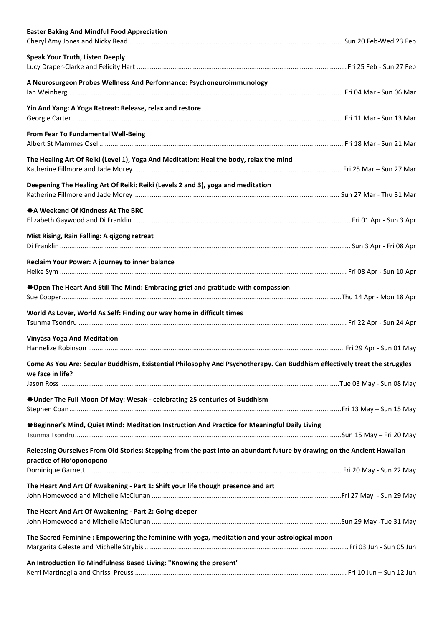| <b>Easter Baking And Mindful Food Appreciation</b>                                                                                                  |  |
|-----------------------------------------------------------------------------------------------------------------------------------------------------|--|
| <b>Speak Your Truth, Listen Deeply</b>                                                                                                              |  |
| A Neurosurgeon Probes Wellness And Performance: Psychoneuroimmunology                                                                               |  |
| Yin And Yang: A Yoga Retreat: Release, relax and restore                                                                                            |  |
| From Fear To Fundamental Well-Being                                                                                                                 |  |
| The Healing Art Of Reiki (Level 1), Yoga And Meditation: Heal the body, relax the mind                                                              |  |
| Deepening The Healing Art Of Reiki: Reiki (Levels 2 and 3), yoga and meditation                                                                     |  |
| ※ A Weekend Of Kindness At The BRC                                                                                                                  |  |
| Mist Rising, Rain Falling: A qigong retreat                                                                                                         |  |
| Reclaim Your Power: A journey to inner balance                                                                                                      |  |
| ※Open The Heart And Still The Mind: Embracing grief and gratitude with compassion                                                                   |  |
| World As Lover, World As Self: Finding our way home in difficult times                                                                              |  |
| Vinyāsa Yoga And Meditation                                                                                                                         |  |
| Come As You Are: Secular Buddhism, Existential Philosophy And Psychotherapy. Can Buddhism effectively treat the struggles<br>we face in life?       |  |
| <b><math>\ddot{\textbf{w}}</math> Under The Full Moon Of May: Wesak - celebrating 25 centuries of Buddhism</b>                                      |  |
|                                                                                                                                                     |  |
| ※Beginner's Mind, Quiet Mind: Meditation Instruction And Practice for Meaningful Daily Living                                                       |  |
| Releasing Ourselves From Old Stories: Stepping from the past into an abundant future by drawing on the Ancient Hawaiian<br>practice of Ho'oponopono |  |
| The Heart And Art Of Awakening - Part 1: Shift your life though presence and art                                                                    |  |
| The Heart And Art Of Awakening - Part 2: Going deeper                                                                                               |  |
| The Sacred Feminine : Empowering the feminine with yoga, meditation and your astrological moon                                                      |  |
| An Introduction To Mindfulness Based Living: "Knowing the present"                                                                                  |  |
|                                                                                                                                                     |  |